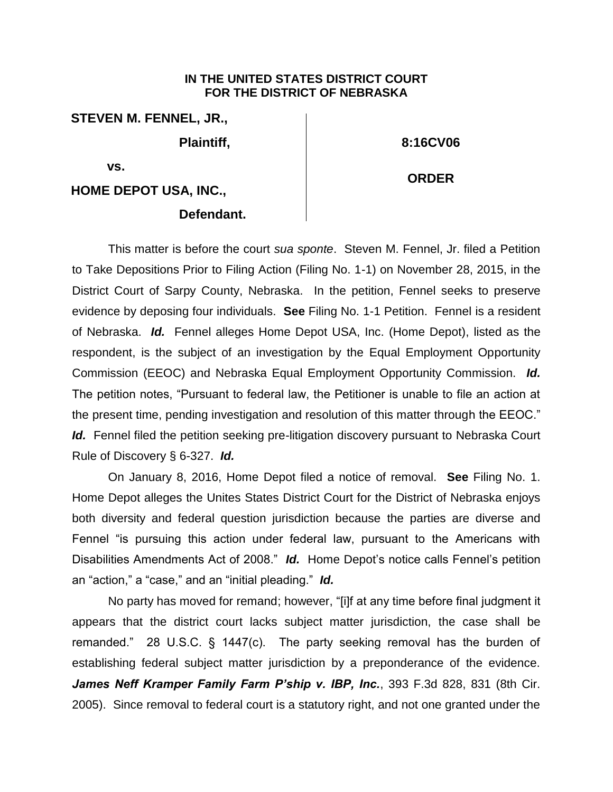## **IN THE UNITED STATES DISTRICT COURT FOR THE DISTRICT OF NEBRASKA**

**STEVEN M. FENNEL, JR.,**

**Plaintiff,** 

**8:16CV06**

**ORDER**

**vs.** 

**HOME DEPOT USA, INC.,**

## **Defendant.**

This matter is before the court *sua sponte*. Steven M. Fennel, Jr. filed a Petition to Take Depositions Prior to Filing Action (Filing No. 1-1) on November 28, 2015, in the District Court of Sarpy County, Nebraska. In the petition, Fennel seeks to preserve evidence by deposing four individuals. **See** Filing No. 1-1 Petition. Fennel is a resident of Nebraska. *Id.* Fennel alleges Home Depot USA, Inc. (Home Depot), listed as the respondent, is the subject of an investigation by the Equal Employment Opportunity Commission (EEOC) and Nebraska Equal Employment Opportunity Commission. *Id.* The petition notes, "Pursuant to federal law, the Petitioner is unable to file an action at the present time, pending investigation and resolution of this matter through the EEOC." Id. Fennel filed the petition seeking pre-litigation discovery pursuant to Nebraska Court Rule of Discovery § 6-327. *Id.*

On January 8, 2016, Home Depot filed a notice of removal. **See** Filing No. 1. Home Depot alleges the Unites States District Court for the District of Nebraska enjoys both diversity and federal question jurisdiction because the parties are diverse and Fennel "is pursuing this action under federal law, pursuant to the Americans with Disabilities Amendments Act of 2008." *Id.* Home Depot's notice calls Fennel's petition an "action," a "case," and an "initial pleading." *Id.*

No party has moved for remand; however, "[i]f at any time before final judgment it appears that the district court lacks subject matter jurisdiction, the case shall be remanded." 28 U.S.C. § 1447(c). The party seeking removal has the burden of establishing federal subject matter jurisdiction by a preponderance of the evidence. *James Neff Kramper Family Farm P'ship v. IBP, Inc.*, 393 F.3d 828, 831 (8th Cir. 2005). Since removal to federal court is a statutory right, and not one granted under the